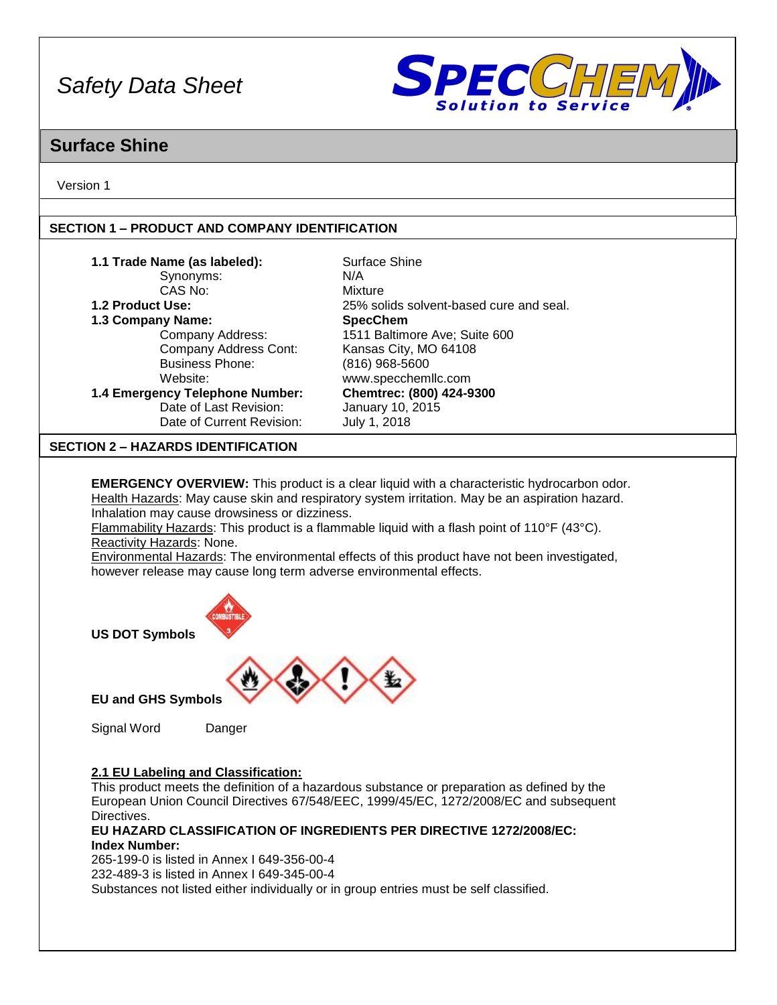

## **Surface Shine**

Version 1

## **SECTION 1 – PRODUCT AND COMPANY IDENTIFICATION**

| 1.1 Trade Name (as labeled):                                                                                                                                                                                                                                                                                                                                                                                                                                                                                                                                              | Surface Shine                           |  |  |  |
|---------------------------------------------------------------------------------------------------------------------------------------------------------------------------------------------------------------------------------------------------------------------------------------------------------------------------------------------------------------------------------------------------------------------------------------------------------------------------------------------------------------------------------------------------------------------------|-----------------------------------------|--|--|--|
| Synonyms:                                                                                                                                                                                                                                                                                                                                                                                                                                                                                                                                                                 | N/A                                     |  |  |  |
| CAS No:                                                                                                                                                                                                                                                                                                                                                                                                                                                                                                                                                                   | Mixture                                 |  |  |  |
| 1.2 Product Use:                                                                                                                                                                                                                                                                                                                                                                                                                                                                                                                                                          | 25% solids solvent-based cure and seal. |  |  |  |
| 1.3 Company Name:                                                                                                                                                                                                                                                                                                                                                                                                                                                                                                                                                         | <b>SpecChem</b>                         |  |  |  |
| Company Address:                                                                                                                                                                                                                                                                                                                                                                                                                                                                                                                                                          | 1511 Baltimore Ave; Suite 600           |  |  |  |
| Company Address Cont:                                                                                                                                                                                                                                                                                                                                                                                                                                                                                                                                                     | Kansas City, MO 64108                   |  |  |  |
| <b>Business Phone:</b>                                                                                                                                                                                                                                                                                                                                                                                                                                                                                                                                                    | (816) 968-5600                          |  |  |  |
| Website:                                                                                                                                                                                                                                                                                                                                                                                                                                                                                                                                                                  | www.specchemllc.com                     |  |  |  |
| 1.4 Emergency Telephone Number:                                                                                                                                                                                                                                                                                                                                                                                                                                                                                                                                           | Chemtrec: (800) 424-9300                |  |  |  |
| Date of Last Revision:                                                                                                                                                                                                                                                                                                                                                                                                                                                                                                                                                    | January 10, 2015                        |  |  |  |
| Date of Current Revision:                                                                                                                                                                                                                                                                                                                                                                                                                                                                                                                                                 | July 1, 2018                            |  |  |  |
|                                                                                                                                                                                                                                                                                                                                                                                                                                                                                                                                                                           |                                         |  |  |  |
| <b>SECTION 2 - HAZARDS IDENTIFICATION</b>                                                                                                                                                                                                                                                                                                                                                                                                                                                                                                                                 |                                         |  |  |  |
|                                                                                                                                                                                                                                                                                                                                                                                                                                                                                                                                                                           |                                         |  |  |  |
| <b>EMERGENCY OVERVIEW:</b> This product is a clear liquid with a characteristic hydrocarbon odor.<br>Health Hazards: May cause skin and respiratory system irritation. May be an aspiration hazard.<br>Inhalation may cause drowsiness or dizziness.<br>Flammability Hazards: This product is a flammable liquid with a flash point of 110°F (43°C).<br>Reactivity Hazards: None.<br>Environmental Hazards: The environmental effects of this product have not been investigated,<br>however release may cause long term adverse environmental effects.<br><b>MBUSTIE</b> |                                         |  |  |  |
| <b>US DOT Symbols</b>                                                                                                                                                                                                                                                                                                                                                                                                                                                                                                                                                     |                                         |  |  |  |
| <b>EU and GHS Symbols</b>                                                                                                                                                                                                                                                                                                                                                                                                                                                                                                                                                 |                                         |  |  |  |
| Signal Word<br>Danger                                                                                                                                                                                                                                                                                                                                                                                                                                                                                                                                                     |                                         |  |  |  |

## **2.1 EU Labeling and Classification:**

This product meets the definition of a hazardous substance or preparation as defined by the European Union Council Directives 67/548/EEC, 1999/45/EC, 1272/2008/EC and subsequent Directives.

**EU HAZARD CLASSIFICATION OF INGREDIENTS PER DIRECTIVE 1272/2008/EC: Index Number:**

265-199-0 is listed in Annex I 649-356-00-4 232-489-3 is listed in Annex I 649-345-00-4

Substances not listed either individually or in group entries must be self classified.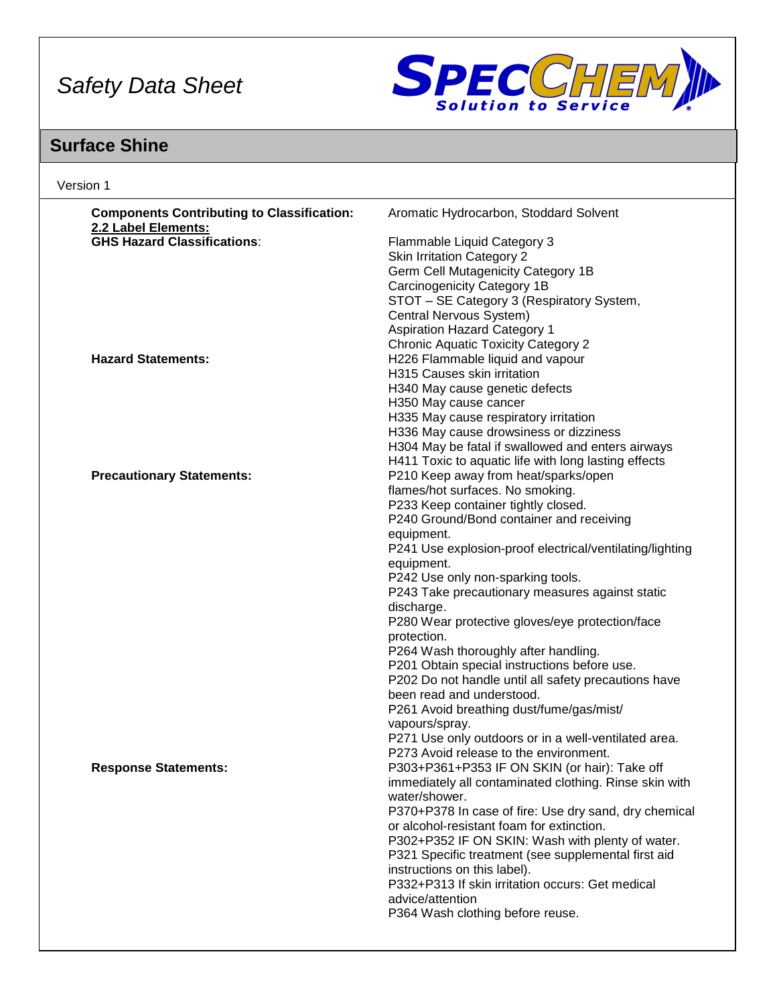

# **Surface Shine**

| Version 1                                                                |                                                          |  |  |  |
|--------------------------------------------------------------------------|----------------------------------------------------------|--|--|--|
| <b>Components Contributing to Classification:</b><br>2.2 Label Elements: | Aromatic Hydrocarbon, Stoddard Solvent                   |  |  |  |
| <b>GHS Hazard Classifications:</b>                                       | Flammable Liquid Category 3                              |  |  |  |
|                                                                          | <b>Skin Irritation Category 2</b>                        |  |  |  |
|                                                                          | Germ Cell Mutagenicity Category 1B                       |  |  |  |
|                                                                          | Carcinogenicity Category 1B                              |  |  |  |
|                                                                          | STOT - SE Category 3 (Respiratory System,                |  |  |  |
|                                                                          | Central Nervous System)                                  |  |  |  |
|                                                                          | <b>Aspiration Hazard Category 1</b>                      |  |  |  |
|                                                                          | <b>Chronic Aquatic Toxicity Category 2</b>               |  |  |  |
| <b>Hazard Statements:</b>                                                | H226 Flammable liquid and vapour                         |  |  |  |
|                                                                          | H315 Causes skin irritation                              |  |  |  |
|                                                                          | H340 May cause genetic defects                           |  |  |  |
|                                                                          | H350 May cause cancer                                    |  |  |  |
|                                                                          | H335 May cause respiratory irritation                    |  |  |  |
|                                                                          | H336 May cause drowsiness or dizziness                   |  |  |  |
|                                                                          | H304 May be fatal if swallowed and enters airways        |  |  |  |
|                                                                          | H411 Toxic to aquatic life with long lasting effects     |  |  |  |
| <b>Precautionary Statements:</b>                                         | P210 Keep away from heat/sparks/open                     |  |  |  |
|                                                                          | flames/hot surfaces. No smoking.                         |  |  |  |
|                                                                          | P233 Keep container tightly closed.                      |  |  |  |
|                                                                          | P240 Ground/Bond container and receiving                 |  |  |  |
|                                                                          | equipment.                                               |  |  |  |
|                                                                          | P241 Use explosion-proof electrical/ventilating/lighting |  |  |  |
|                                                                          | equipment.                                               |  |  |  |
|                                                                          | P242 Use only non-sparking tools.                        |  |  |  |
|                                                                          | P243 Take precautionary measures against static          |  |  |  |
|                                                                          | discharge.                                               |  |  |  |
|                                                                          | P280 Wear protective gloves/eye protection/face          |  |  |  |
|                                                                          | protection.                                              |  |  |  |
|                                                                          | P264 Wash thoroughly after handling.                     |  |  |  |
|                                                                          | P201 Obtain special instructions before use.             |  |  |  |
|                                                                          | P202 Do not handle until all safety precautions have     |  |  |  |
|                                                                          | been read and understood.                                |  |  |  |
|                                                                          | P261 Avoid breathing dust/fume/gas/mist/                 |  |  |  |
|                                                                          | vapours/spray.                                           |  |  |  |
|                                                                          | P271 Use only outdoors or in a well-ventilated area.     |  |  |  |
|                                                                          | P273 Avoid release to the environment.                   |  |  |  |
| <b>Response Statements:</b>                                              | P303+P361+P353 IF ON SKIN (or hair): Take off            |  |  |  |
|                                                                          | immediately all contaminated clothing. Rinse skin with   |  |  |  |
|                                                                          | water/shower.                                            |  |  |  |
|                                                                          | P370+P378 In case of fire: Use dry sand, dry chemical    |  |  |  |
|                                                                          | or alcohol-resistant foam for extinction.                |  |  |  |
|                                                                          | P302+P352 IF ON SKIN: Wash with plenty of water.         |  |  |  |
|                                                                          | P321 Specific treatment (see supplemental first aid      |  |  |  |
|                                                                          | instructions on this label).                             |  |  |  |
|                                                                          | P332+P313 If skin irritation occurs: Get medical         |  |  |  |
|                                                                          | advice/attention                                         |  |  |  |
|                                                                          | P364 Wash clothing before reuse.                         |  |  |  |
|                                                                          |                                                          |  |  |  |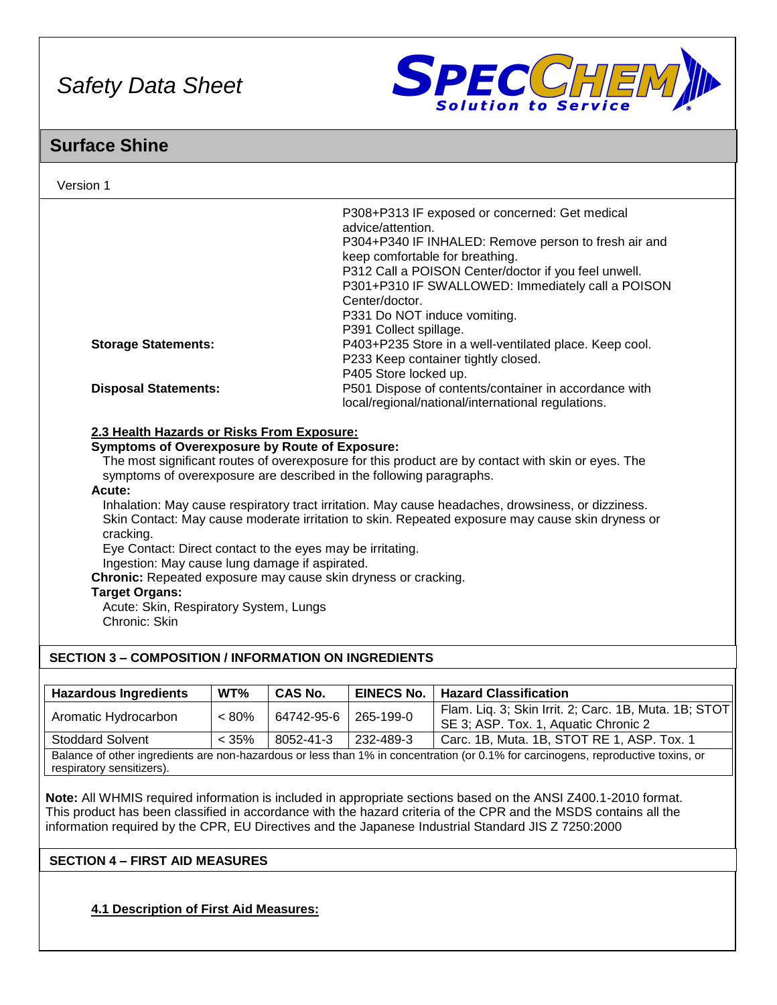

## **Surface Shine**

| Version 1                                                                                                                                                                                                                                                                                                                                                                                                                                                                                                                                                                                                                                                                                                                                                                               |          |                |                                                                                                                                  |                                                                                                                                                                                                                     |  |
|-----------------------------------------------------------------------------------------------------------------------------------------------------------------------------------------------------------------------------------------------------------------------------------------------------------------------------------------------------------------------------------------------------------------------------------------------------------------------------------------------------------------------------------------------------------------------------------------------------------------------------------------------------------------------------------------------------------------------------------------------------------------------------------------|----------|----------------|----------------------------------------------------------------------------------------------------------------------------------|---------------------------------------------------------------------------------------------------------------------------------------------------------------------------------------------------------------------|--|
|                                                                                                                                                                                                                                                                                                                                                                                                                                                                                                                                                                                                                                                                                                                                                                                         |          |                | advice/attention.<br>keep comfortable for breathing.<br>Center/doctor.<br>P331 Do NOT induce vomiting.<br>P391 Collect spillage. | P308+P313 IF exposed or concerned: Get medical<br>P304+P340 IF INHALED: Remove person to fresh air and<br>P312 Call a POISON Center/doctor if you feel unwell.<br>P301+P310 IF SWALLOWED: Immediately call a POISON |  |
| <b>Storage Statements:</b>                                                                                                                                                                                                                                                                                                                                                                                                                                                                                                                                                                                                                                                                                                                                                              |          |                | P405 Store locked up.                                                                                                            | P403+P235 Store in a well-ventilated place. Keep cool.<br>P233 Keep container tightly closed.                                                                                                                       |  |
| <b>Disposal Statements:</b>                                                                                                                                                                                                                                                                                                                                                                                                                                                                                                                                                                                                                                                                                                                                                             |          |                |                                                                                                                                  | P501 Dispose of contents/container in accordance with<br>local/regional/national/international regulations.                                                                                                         |  |
| 2.3 Health Hazards or Risks From Exposure:<br><b>Symptoms of Overexposure by Route of Exposure:</b><br>The most significant routes of overexposure for this product are by contact with skin or eyes. The<br>symptoms of overexposure are described in the following paragraphs.<br>Acute:<br>Inhalation: May cause respiratory tract irritation. May cause headaches, drowsiness, or dizziness.<br>Skin Contact: May cause moderate irritation to skin. Repeated exposure may cause skin dryness or<br>cracking.<br>Eye Contact: Direct contact to the eyes may be irritating.<br>Ingestion: May cause lung damage if aspirated.<br>Chronic: Repeated exposure may cause skin dryness or cracking.<br><b>Target Organs:</b><br>Acute: Skin, Respiratory System, Lungs<br>Chronic: Skin |          |                |                                                                                                                                  |                                                                                                                                                                                                                     |  |
| <b>SECTION 3 - COMPOSITION / INFORMATION ON INGREDIENTS</b>                                                                                                                                                                                                                                                                                                                                                                                                                                                                                                                                                                                                                                                                                                                             |          |                |                                                                                                                                  |                                                                                                                                                                                                                     |  |
| <b>Hazardous Ingredients</b>                                                                                                                                                                                                                                                                                                                                                                                                                                                                                                                                                                                                                                                                                                                                                            | WT%      | <b>CAS No.</b> | <b>EINECS No.</b>                                                                                                                | <b>Hazard Classification</b>                                                                                                                                                                                        |  |
| Aromatic Hydrocarbon                                                                                                                                                                                                                                                                                                                                                                                                                                                                                                                                                                                                                                                                                                                                                                    | $< 80\%$ | 64742-95-6     | 265-199-0                                                                                                                        | Flam. Liq. 3; Skin Irrit. 2; Carc. 1B, Muta. 1B; STOT<br>SE 3; ASP. Tox. 1, Aquatic Chronic 2                                                                                                                       |  |
| <b>Stoddard Solvent</b>                                                                                                                                                                                                                                                                                                                                                                                                                                                                                                                                                                                                                                                                                                                                                                 | < 35%    | 8052-41-3      | 232-489-3                                                                                                                        | Carc. 1B, Muta. 1B, STOT RE 1, ASP. Tox. 1                                                                                                                                                                          |  |
| Balance of other ingredients are non-hazardous or less than 1% in concentration (or 0.1% for carcinogens, reproductive toxins, or<br>respiratory sensitizers).                                                                                                                                                                                                                                                                                                                                                                                                                                                                                                                                                                                                                          |          |                |                                                                                                                                  |                                                                                                                                                                                                                     |  |

**Note:** All WHMIS required information is included in appropriate sections based on the ANSI Z400.1-2010 format. This product has been classified in accordance with the hazard criteria of the CPR and the MSDS contains all the information required by the CPR, EU Directives and the Japanese Industrial Standard JIS Z 7250:2000

## **SECTION 4 – FIRST AID MEASURES**

**4.1 Description of First Aid Measures:**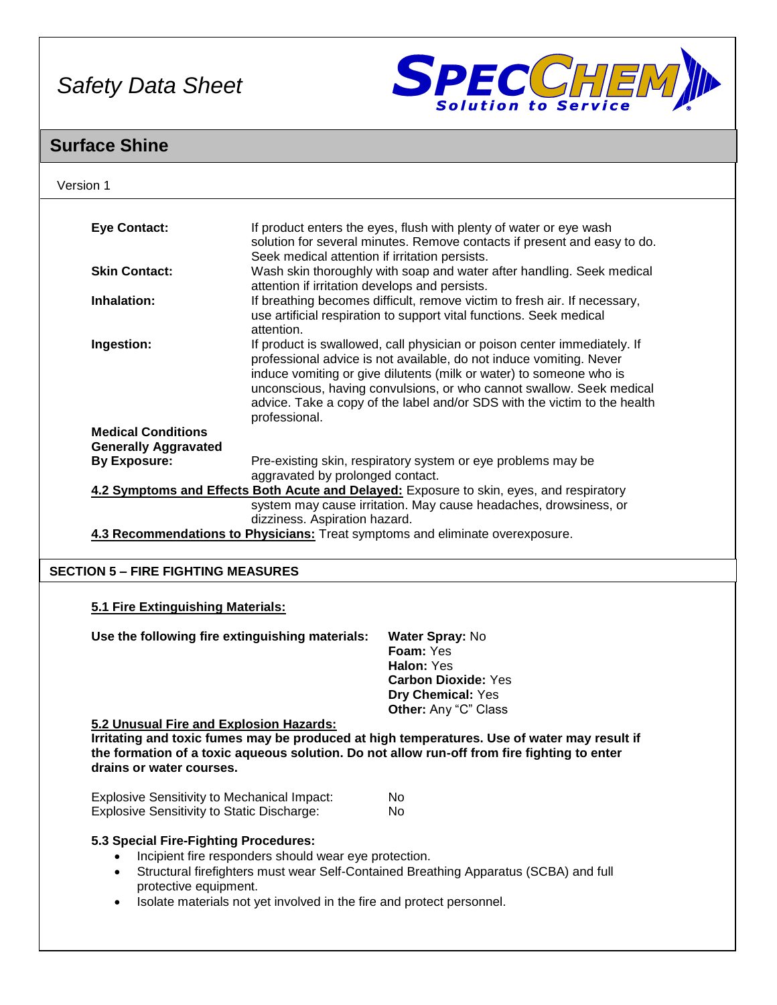

# **Surface Shine**

| <b>Eye Contact:</b><br>If product enters the eyes, flush with plenty of water or eye wash<br>solution for several minutes. Remove contacts if present and easy to do.<br>Seek medical attention if irritation persists.<br>Wash skin thoroughly with soap and water after handling. Seek medical<br><b>Skin Contact:</b><br>attention if irritation develops and persists.<br>If breathing becomes difficult, remove victim to fresh air. If necessary,<br>Inhalation:<br>use artificial respiration to support vital functions. Seek medical<br>attention.<br>Ingestion:<br>If product is swallowed, call physician or poison center immediately. If<br>professional advice is not available, do not induce vomiting. Never<br>induce vomiting or give dilutents (milk or water) to someone who is<br>unconscious, having convulsions, or who cannot swallow. Seek medical<br>advice. Take a copy of the label and/or SDS with the victim to the health<br>professional.<br><b>Medical Conditions</b><br><b>Generally Aggravated</b><br><b>By Exposure:</b><br>Pre-existing skin, respiratory system or eye problems may be<br>aggravated by prolonged contact.<br>4.2 Symptoms and Effects Both Acute and Delayed: Exposure to skin, eyes, and respiratory<br>system may cause irritation. May cause headaches, drowsiness, or<br>dizziness. Aspiration hazard.<br>4.3 Recommendations to Physicians: Treat symptoms and eliminate overexposure.<br><b>SECTION 5 - FIRE FIGHTING MEASURES</b><br>5.1 Fire Extinguishing Materials:<br>Use the following fire extinguishing materials:<br>Water Spray: No<br>Foam: Yes<br>Halon: Yes<br><b>Carbon Dioxide: Yes</b><br>Dry Chemical: Yes<br>Other: Any "C" Class<br>5.2 Unusual Fire and Explosion Hazards:<br>Irritating and toxic fumes may be produced at high temperatures. Use of water may result if<br>the formation of a toxic aqueous solution. Do not allow run-off from fire fighting to enter<br>drains or water courses.<br><b>Explosive Sensitivity to Mechanical Impact:</b><br>No.<br><b>Explosive Sensitivity to Static Discharge:</b><br>No.<br>5.3 Special Fire-Fighting Procedures: |                       |  |  |  |
|---------------------------------------------------------------------------------------------------------------------------------------------------------------------------------------------------------------------------------------------------------------------------------------------------------------------------------------------------------------------------------------------------------------------------------------------------------------------------------------------------------------------------------------------------------------------------------------------------------------------------------------------------------------------------------------------------------------------------------------------------------------------------------------------------------------------------------------------------------------------------------------------------------------------------------------------------------------------------------------------------------------------------------------------------------------------------------------------------------------------------------------------------------------------------------------------------------------------------------------------------------------------------------------------------------------------------------------------------------------------------------------------------------------------------------------------------------------------------------------------------------------------------------------------------------------------------------------------------------------------------------------------------------------------------------------------------------------------------------------------------------------------------------------------------------------------------------------------------------------------------------------------------------------------------------------------------------------------------------------------------------------------------------------------------------------------------------------------------------------------------------------------------------|-----------------------|--|--|--|
|                                                                                                                                                                                                                                                                                                                                                                                                                                                                                                                                                                                                                                                                                                                                                                                                                                                                                                                                                                                                                                                                                                                                                                                                                                                                                                                                                                                                                                                                                                                                                                                                                                                                                                                                                                                                                                                                                                                                                                                                                                                                                                                                                         |                       |  |  |  |
|                                                                                                                                                                                                                                                                                                                                                                                                                                                                                                                                                                                                                                                                                                                                                                                                                                                                                                                                                                                                                                                                                                                                                                                                                                                                                                                                                                                                                                                                                                                                                                                                                                                                                                                                                                                                                                                                                                                                                                                                                                                                                                                                                         |                       |  |  |  |
|                                                                                                                                                                                                                                                                                                                                                                                                                                                                                                                                                                                                                                                                                                                                                                                                                                                                                                                                                                                                                                                                                                                                                                                                                                                                                                                                                                                                                                                                                                                                                                                                                                                                                                                                                                                                                                                                                                                                                                                                                                                                                                                                                         |                       |  |  |  |
|                                                                                                                                                                                                                                                                                                                                                                                                                                                                                                                                                                                                                                                                                                                                                                                                                                                                                                                                                                                                                                                                                                                                                                                                                                                                                                                                                                                                                                                                                                                                                                                                                                                                                                                                                                                                                                                                                                                                                                                                                                                                                                                                                         |                       |  |  |  |
|                                                                                                                                                                                                                                                                                                                                                                                                                                                                                                                                                                                                                                                                                                                                                                                                                                                                                                                                                                                                                                                                                                                                                                                                                                                                                                                                                                                                                                                                                                                                                                                                                                                                                                                                                                                                                                                                                                                                                                                                                                                                                                                                                         |                       |  |  |  |
|                                                                                                                                                                                                                                                                                                                                                                                                                                                                                                                                                                                                                                                                                                                                                                                                                                                                                                                                                                                                                                                                                                                                                                                                                                                                                                                                                                                                                                                                                                                                                                                                                                                                                                                                                                                                                                                                                                                                                                                                                                                                                                                                                         |                       |  |  |  |
|                                                                                                                                                                                                                                                                                                                                                                                                                                                                                                                                                                                                                                                                                                                                                                                                                                                                                                                                                                                                                                                                                                                                                                                                                                                                                                                                                                                                                                                                                                                                                                                                                                                                                                                                                                                                                                                                                                                                                                                                                                                                                                                                                         |                       |  |  |  |
|                                                                                                                                                                                                                                                                                                                                                                                                                                                                                                                                                                                                                                                                                                                                                                                                                                                                                                                                                                                                                                                                                                                                                                                                                                                                                                                                                                                                                                                                                                                                                                                                                                                                                                                                                                                                                                                                                                                                                                                                                                                                                                                                                         |                       |  |  |  |
|                                                                                                                                                                                                                                                                                                                                                                                                                                                                                                                                                                                                                                                                                                                                                                                                                                                                                                                                                                                                                                                                                                                                                                                                                                                                                                                                                                                                                                                                                                                                                                                                                                                                                                                                                                                                                                                                                                                                                                                                                                                                                                                                                         |                       |  |  |  |
|                                                                                                                                                                                                                                                                                                                                                                                                                                                                                                                                                                                                                                                                                                                                                                                                                                                                                                                                                                                                                                                                                                                                                                                                                                                                                                                                                                                                                                                                                                                                                                                                                                                                                                                                                                                                                                                                                                                                                                                                                                                                                                                                                         |                       |  |  |  |
|                                                                                                                                                                                                                                                                                                                                                                                                                                                                                                                                                                                                                                                                                                                                                                                                                                                                                                                                                                                                                                                                                                                                                                                                                                                                                                                                                                                                                                                                                                                                                                                                                                                                                                                                                                                                                                                                                                                                                                                                                                                                                                                                                         |                       |  |  |  |
|                                                                                                                                                                                                                                                                                                                                                                                                                                                                                                                                                                                                                                                                                                                                                                                                                                                                                                                                                                                                                                                                                                                                                                                                                                                                                                                                                                                                                                                                                                                                                                                                                                                                                                                                                                                                                                                                                                                                                                                                                                                                                                                                                         |                       |  |  |  |
|                                                                                                                                                                                                                                                                                                                                                                                                                                                                                                                                                                                                                                                                                                                                                                                                                                                                                                                                                                                                                                                                                                                                                                                                                                                                                                                                                                                                                                                                                                                                                                                                                                                                                                                                                                                                                                                                                                                                                                                                                                                                                                                                                         |                       |  |  |  |
|                                                                                                                                                                                                                                                                                                                                                                                                                                                                                                                                                                                                                                                                                                                                                                                                                                                                                                                                                                                                                                                                                                                                                                                                                                                                                                                                                                                                                                                                                                                                                                                                                                                                                                                                                                                                                                                                                                                                                                                                                                                                                                                                                         |                       |  |  |  |
|                                                                                                                                                                                                                                                                                                                                                                                                                                                                                                                                                                                                                                                                                                                                                                                                                                                                                                                                                                                                                                                                                                                                                                                                                                                                                                                                                                                                                                                                                                                                                                                                                                                                                                                                                                                                                                                                                                                                                                                                                                                                                                                                                         |                       |  |  |  |
|                                                                                                                                                                                                                                                                                                                                                                                                                                                                                                                                                                                                                                                                                                                                                                                                                                                                                                                                                                                                                                                                                                                                                                                                                                                                                                                                                                                                                                                                                                                                                                                                                                                                                                                                                                                                                                                                                                                                                                                                                                                                                                                                                         |                       |  |  |  |
|                                                                                                                                                                                                                                                                                                                                                                                                                                                                                                                                                                                                                                                                                                                                                                                                                                                                                                                                                                                                                                                                                                                                                                                                                                                                                                                                                                                                                                                                                                                                                                                                                                                                                                                                                                                                                                                                                                                                                                                                                                                                                                                                                         |                       |  |  |  |
|                                                                                                                                                                                                                                                                                                                                                                                                                                                                                                                                                                                                                                                                                                                                                                                                                                                                                                                                                                                                                                                                                                                                                                                                                                                                                                                                                                                                                                                                                                                                                                                                                                                                                                                                                                                                                                                                                                                                                                                                                                                                                                                                                         |                       |  |  |  |
|                                                                                                                                                                                                                                                                                                                                                                                                                                                                                                                                                                                                                                                                                                                                                                                                                                                                                                                                                                                                                                                                                                                                                                                                                                                                                                                                                                                                                                                                                                                                                                                                                                                                                                                                                                                                                                                                                                                                                                                                                                                                                                                                                         |                       |  |  |  |
|                                                                                                                                                                                                                                                                                                                                                                                                                                                                                                                                                                                                                                                                                                                                                                                                                                                                                                                                                                                                                                                                                                                                                                                                                                                                                                                                                                                                                                                                                                                                                                                                                                                                                                                                                                                                                                                                                                                                                                                                                                                                                                                                                         |                       |  |  |  |
|                                                                                                                                                                                                                                                                                                                                                                                                                                                                                                                                                                                                                                                                                                                                                                                                                                                                                                                                                                                                                                                                                                                                                                                                                                                                                                                                                                                                                                                                                                                                                                                                                                                                                                                                                                                                                                                                                                                                                                                                                                                                                                                                                         |                       |  |  |  |
|                                                                                                                                                                                                                                                                                                                                                                                                                                                                                                                                                                                                                                                                                                                                                                                                                                                                                                                                                                                                                                                                                                                                                                                                                                                                                                                                                                                                                                                                                                                                                                                                                                                                                                                                                                                                                                                                                                                                                                                                                                                                                                                                                         |                       |  |  |  |
|                                                                                                                                                                                                                                                                                                                                                                                                                                                                                                                                                                                                                                                                                                                                                                                                                                                                                                                                                                                                                                                                                                                                                                                                                                                                                                                                                                                                                                                                                                                                                                                                                                                                                                                                                                                                                                                                                                                                                                                                                                                                                                                                                         |                       |  |  |  |
|                                                                                                                                                                                                                                                                                                                                                                                                                                                                                                                                                                                                                                                                                                                                                                                                                                                                                                                                                                                                                                                                                                                                                                                                                                                                                                                                                                                                                                                                                                                                                                                                                                                                                                                                                                                                                                                                                                                                                                                                                                                                                                                                                         |                       |  |  |  |
|                                                                                                                                                                                                                                                                                                                                                                                                                                                                                                                                                                                                                                                                                                                                                                                                                                                                                                                                                                                                                                                                                                                                                                                                                                                                                                                                                                                                                                                                                                                                                                                                                                                                                                                                                                                                                                                                                                                                                                                                                                                                                                                                                         |                       |  |  |  |
|                                                                                                                                                                                                                                                                                                                                                                                                                                                                                                                                                                                                                                                                                                                                                                                                                                                                                                                                                                                                                                                                                                                                                                                                                                                                                                                                                                                                                                                                                                                                                                                                                                                                                                                                                                                                                                                                                                                                                                                                                                                                                                                                                         |                       |  |  |  |
|                                                                                                                                                                                                                                                                                                                                                                                                                                                                                                                                                                                                                                                                                                                                                                                                                                                                                                                                                                                                                                                                                                                                                                                                                                                                                                                                                                                                                                                                                                                                                                                                                                                                                                                                                                                                                                                                                                                                                                                                                                                                                                                                                         |                       |  |  |  |
|                                                                                                                                                                                                                                                                                                                                                                                                                                                                                                                                                                                                                                                                                                                                                                                                                                                                                                                                                                                                                                                                                                                                                                                                                                                                                                                                                                                                                                                                                                                                                                                                                                                                                                                                                                                                                                                                                                                                                                                                                                                                                                                                                         |                       |  |  |  |
|                                                                                                                                                                                                                                                                                                                                                                                                                                                                                                                                                                                                                                                                                                                                                                                                                                                                                                                                                                                                                                                                                                                                                                                                                                                                                                                                                                                                                                                                                                                                                                                                                                                                                                                                                                                                                                                                                                                                                                                                                                                                                                                                                         |                       |  |  |  |
|                                                                                                                                                                                                                                                                                                                                                                                                                                                                                                                                                                                                                                                                                                                                                                                                                                                                                                                                                                                                                                                                                                                                                                                                                                                                                                                                                                                                                                                                                                                                                                                                                                                                                                                                                                                                                                                                                                                                                                                                                                                                                                                                                         |                       |  |  |  |
|                                                                                                                                                                                                                                                                                                                                                                                                                                                                                                                                                                                                                                                                                                                                                                                                                                                                                                                                                                                                                                                                                                                                                                                                                                                                                                                                                                                                                                                                                                                                                                                                                                                                                                                                                                                                                                                                                                                                                                                                                                                                                                                                                         |                       |  |  |  |
|                                                                                                                                                                                                                                                                                                                                                                                                                                                                                                                                                                                                                                                                                                                                                                                                                                                                                                                                                                                                                                                                                                                                                                                                                                                                                                                                                                                                                                                                                                                                                                                                                                                                                                                                                                                                                                                                                                                                                                                                                                                                                                                                                         |                       |  |  |  |
|                                                                                                                                                                                                                                                                                                                                                                                                                                                                                                                                                                                                                                                                                                                                                                                                                                                                                                                                                                                                                                                                                                                                                                                                                                                                                                                                                                                                                                                                                                                                                                                                                                                                                                                                                                                                                                                                                                                                                                                                                                                                                                                                                         |                       |  |  |  |
|                                                                                                                                                                                                                                                                                                                                                                                                                                                                                                                                                                                                                                                                                                                                                                                                                                                                                                                                                                                                                                                                                                                                                                                                                                                                                                                                                                                                                                                                                                                                                                                                                                                                                                                                                                                                                                                                                                                                                                                                                                                                                                                                                         |                       |  |  |  |
|                                                                                                                                                                                                                                                                                                                                                                                                                                                                                                                                                                                                                                                                                                                                                                                                                                                                                                                                                                                                                                                                                                                                                                                                                                                                                                                                                                                                                                                                                                                                                                                                                                                                                                                                                                                                                                                                                                                                                                                                                                                                                                                                                         |                       |  |  |  |
| Incipient fire responders should wear eye protection.                                                                                                                                                                                                                                                                                                                                                                                                                                                                                                                                                                                                                                                                                                                                                                                                                                                                                                                                                                                                                                                                                                                                                                                                                                                                                                                                                                                                                                                                                                                                                                                                                                                                                                                                                                                                                                                                                                                                                                                                                                                                                                   |                       |  |  |  |
| Structural firefighters must wear Self-Contained Breathing Apparatus (SCBA) and full<br>$\bullet$                                                                                                                                                                                                                                                                                                                                                                                                                                                                                                                                                                                                                                                                                                                                                                                                                                                                                                                                                                                                                                                                                                                                                                                                                                                                                                                                                                                                                                                                                                                                                                                                                                                                                                                                                                                                                                                                                                                                                                                                                                                       |                       |  |  |  |
|                                                                                                                                                                                                                                                                                                                                                                                                                                                                                                                                                                                                                                                                                                                                                                                                                                                                                                                                                                                                                                                                                                                                                                                                                                                                                                                                                                                                                                                                                                                                                                                                                                                                                                                                                                                                                                                                                                                                                                                                                                                                                                                                                         |                       |  |  |  |
| Isolate materials not yet involved in the fire and protect personnel.<br>$\bullet$                                                                                                                                                                                                                                                                                                                                                                                                                                                                                                                                                                                                                                                                                                                                                                                                                                                                                                                                                                                                                                                                                                                                                                                                                                                                                                                                                                                                                                                                                                                                                                                                                                                                                                                                                                                                                                                                                                                                                                                                                                                                      | protective equipment. |  |  |  |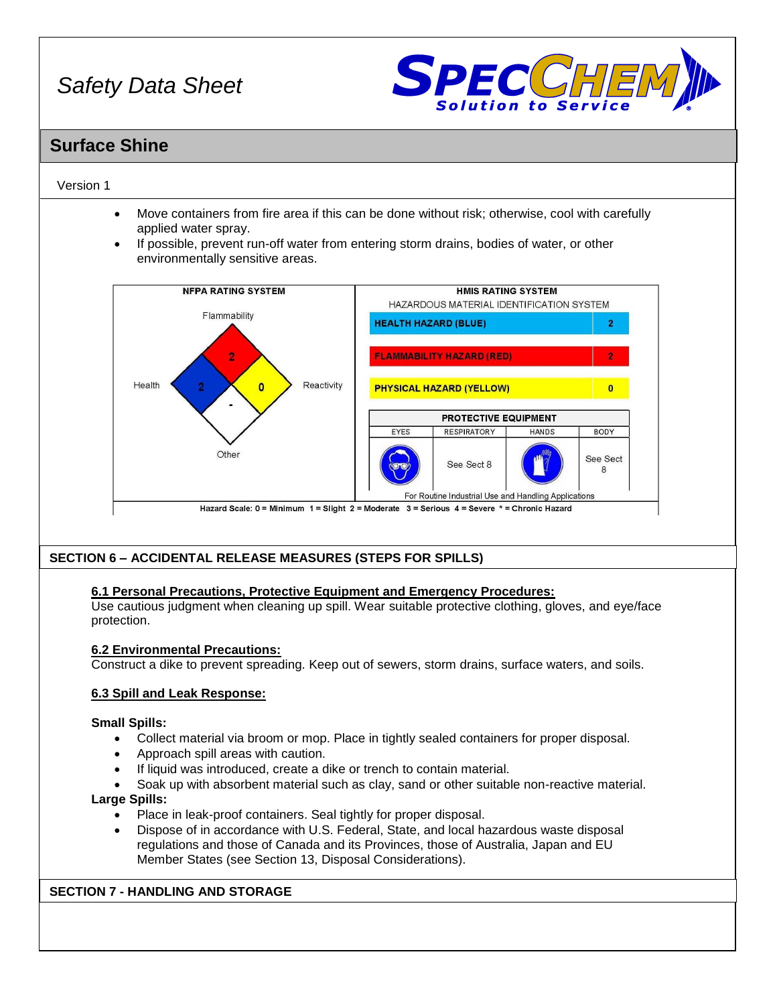

## **Surface Shine**

## Version 1

- Move containers from fire area if this can be done without risk; otherwise, cool with carefully applied water spray.
- If possible, prevent run-off water from entering storm drains, bodies of water, or other environmentally sensitive areas.



## **SECTION 6 – ACCIDENTAL RELEASE MEASURES (STEPS FOR SPILLS)**

## **6.1 Personal Precautions, Protective Equipment and Emergency Procedures:**

Use cautious judgment when cleaning up spill. Wear suitable protective clothing, gloves, and eye/face protection.

## **6.2 Environmental Precautions:**

Construct a dike to prevent spreading. Keep out of sewers, storm drains, surface waters, and soils.

## **6.3 Spill and Leak Response:**

## **Small Spills:**

- Collect material via broom or mop. Place in tightly sealed containers for proper disposal.
- Approach spill areas with caution.
- If liquid was introduced, create a dike or trench to contain material.
- Soak up with absorbent material such as clay, sand or other suitable non-reactive material. **Large Spills:**
- - Place in leak-proof containers. Seal tightly for proper disposal.
	- Dispose of in accordance with U.S. Federal, State, and local hazardous waste disposal regulations and those of Canada and its Provinces, those of Australia, Japan and EU Member States (see Section 13, Disposal Considerations).

## **SECTION 7 - HANDLING AND STORAGE**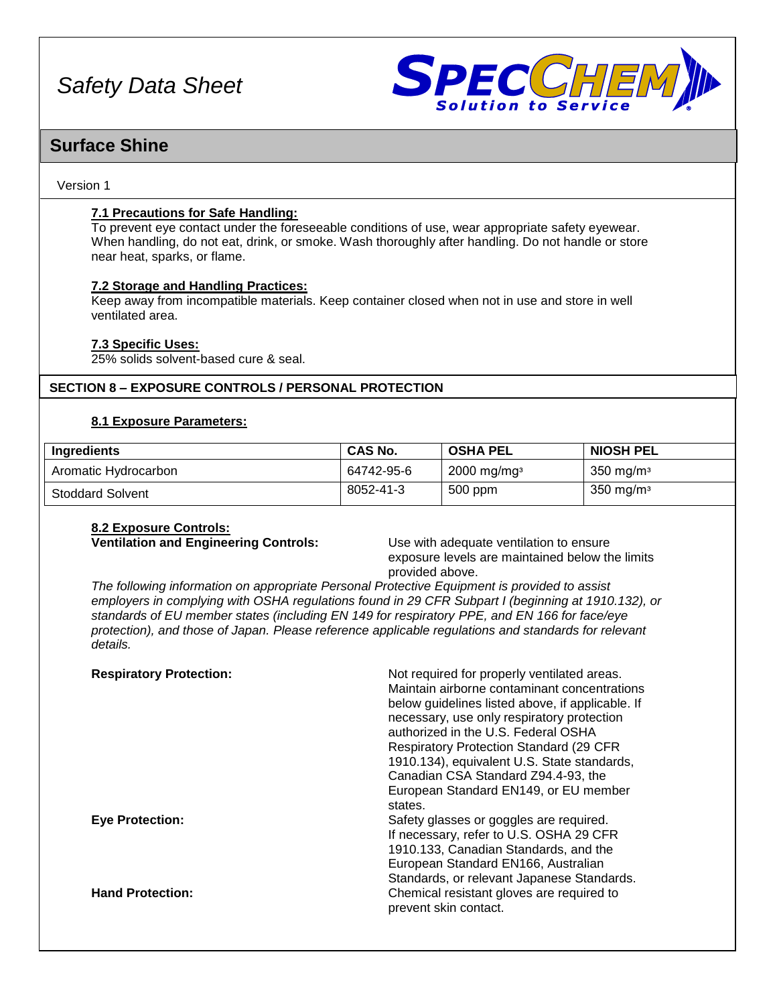

## **Surface Shine**

## Version 1

## **7.1 Precautions for Safe Handling:**

To prevent eye contact under the foreseeable conditions of use, wear appropriate safety eyewear. When handling, do not eat, drink, or smoke. Wash thoroughly after handling. Do not handle or store near heat, sparks, or flame.

## **7.2 Storage and Handling Practices:**

Keep away from incompatible materials. Keep container closed when not in use and store in well ventilated area.

## **7.3 Specific Uses:**

25% solids solvent-based cure & seal.

## **SECTION 8 – EXPOSURE CONTROLS / PERSONAL PROTECTION**

## **8.1 Exposure Parameters:**

| Ingredients             | <b>CAS No.</b> | <b>OSHA PEL</b>           | <b>NIOSH PEL</b>       |
|-------------------------|----------------|---------------------------|------------------------|
| Aromatic Hydrocarbon    | 64742-95-6     | $2000$ mg/mg <sup>3</sup> | 350 mg/m $\frac{3}{3}$ |
| <b>Stoddard Solvent</b> | 8052-41-3      | 500 ppm                   | $350 \text{ mg/m}$     |

## **8.2 Exposure Controls:**

**Ventilation and Engineering Controls:** Use with adequate ventilation to ensure

exposure levels are maintained below the limits provided above.

*The following information on appropriate Personal Protective Equipment is provided to assist employers in complying with OSHA regulations found in 29 CFR Subpart I (beginning at 1910.132), or standards of EU member states (including EN 149 for respiratory PPE, and EN 166 for face/eye protection), and those of Japan. Please reference applicable regulations and standards for relevant details.*

| <b>Respiratory Protection:</b> | Not required for properly ventilated areas.<br>Maintain airborne contaminant concentrations<br>below guidelines listed above, if applicable. If<br>necessary, use only respiratory protection<br>authorized in the U.S. Federal OSHA<br><b>Respiratory Protection Standard (29 CFR)</b><br>1910.134), equivalent U.S. State standards,<br>Canadian CSA Standard Z94.4-93, the<br>European Standard EN149, or EU member<br>states. |
|--------------------------------|-----------------------------------------------------------------------------------------------------------------------------------------------------------------------------------------------------------------------------------------------------------------------------------------------------------------------------------------------------------------------------------------------------------------------------------|
| <b>Eye Protection:</b>         | Safety glasses or goggles are required.<br>If necessary, refer to U.S. OSHA 29 CFR<br>1910.133, Canadian Standards, and the<br>European Standard EN166, Australian                                                                                                                                                                                                                                                                |
| <b>Hand Protection:</b>        | Standards, or relevant Japanese Standards.<br>Chemical resistant gloves are required to<br>prevent skin contact.                                                                                                                                                                                                                                                                                                                  |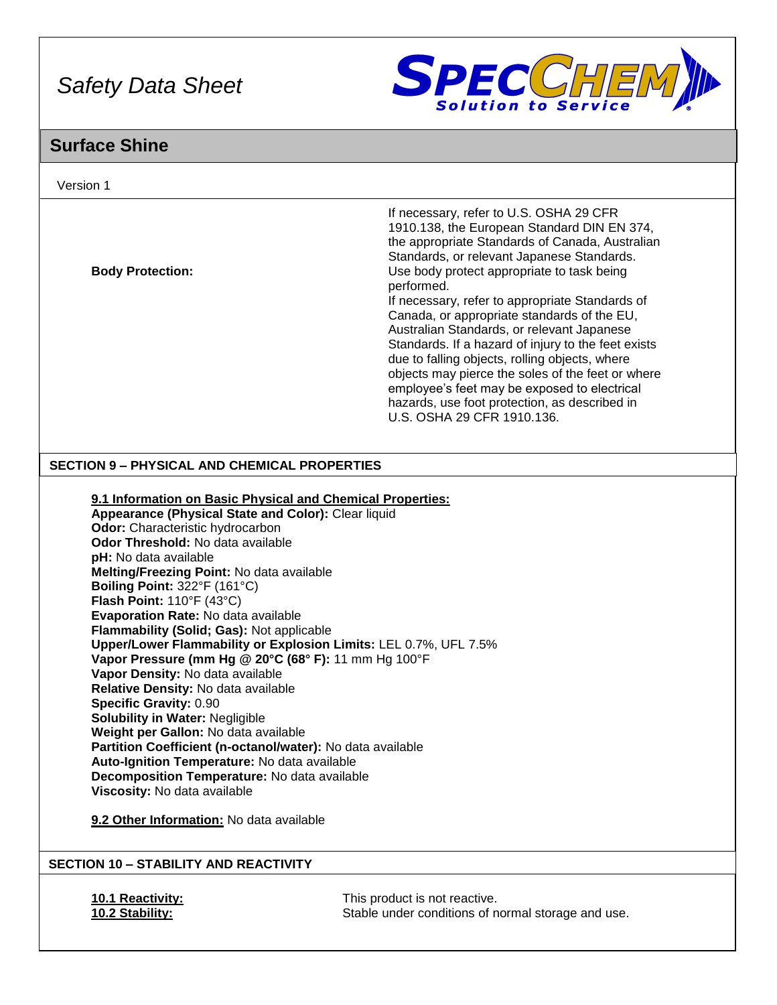

# **Surface Shine**

| Version 1                                                                                                                                                                                                                                                                                                                                                                                                                                                                                                                                                                                                                                                                                                                                                                                                                                    |                                                                                                                                                                                                                                                                                                                                                                                                                                                                                                                                                                                                                                                                                                  |
|----------------------------------------------------------------------------------------------------------------------------------------------------------------------------------------------------------------------------------------------------------------------------------------------------------------------------------------------------------------------------------------------------------------------------------------------------------------------------------------------------------------------------------------------------------------------------------------------------------------------------------------------------------------------------------------------------------------------------------------------------------------------------------------------------------------------------------------------|--------------------------------------------------------------------------------------------------------------------------------------------------------------------------------------------------------------------------------------------------------------------------------------------------------------------------------------------------------------------------------------------------------------------------------------------------------------------------------------------------------------------------------------------------------------------------------------------------------------------------------------------------------------------------------------------------|
| <b>Body Protection:</b>                                                                                                                                                                                                                                                                                                                                                                                                                                                                                                                                                                                                                                                                                                                                                                                                                      | If necessary, refer to U.S. OSHA 29 CFR<br>1910.138, the European Standard DIN EN 374,<br>the appropriate Standards of Canada, Australian<br>Standards, or relevant Japanese Standards.<br>Use body protect appropriate to task being<br>performed.<br>If necessary, refer to appropriate Standards of<br>Canada, or appropriate standards of the EU,<br>Australian Standards, or relevant Japanese<br>Standards. If a hazard of injury to the feet exists<br>due to falling objects, rolling objects, where<br>objects may pierce the soles of the feet or where<br>employee's feet may be exposed to electrical<br>hazards, use foot protection, as described in<br>U.S. OSHA 29 CFR 1910.136. |
| <b>SECTION 9 - PHYSICAL AND CHEMICAL PROPERTIES</b>                                                                                                                                                                                                                                                                                                                                                                                                                                                                                                                                                                                                                                                                                                                                                                                          |                                                                                                                                                                                                                                                                                                                                                                                                                                                                                                                                                                                                                                                                                                  |
| Appearance (Physical State and Color): Clear liquid<br>Odor: Characteristic hydrocarbon<br>Odor Threshold: No data available<br>pH: No data available<br>Melting/Freezing Point: No data available<br>Boiling Point: 322°F (161°C)<br>Flash Point: 110°F (43°C)<br>Evaporation Rate: No data available<br>Flammability (Solid; Gas): Not applicable<br>Vapor Pressure (mm Hg @ 20°C (68° F): 11 mm Hg 100°F<br>Vapor Density: No data available<br>Relative Density: No data available<br>Specific Gravity: 0.90<br><b>Solubility in Water: Negligible</b><br>Weight per Gallon: No data available<br>Partition Coefficient (n-octanol/water): No data available<br>Auto-Ignition Temperature: No data available<br>Decomposition Temperature: No data available<br>Viscosity: No data available<br>9.2 Other Information: No data available | 9.1 Information on Basic Physical and Chemical Properties:<br>Upper/Lower Flammability or Explosion Limits: LEL 0.7%, UFL 7.5%                                                                                                                                                                                                                                                                                                                                                                                                                                                                                                                                                                   |
| <b>SECTION 10 - STABILITY AND REACTIVITY</b>                                                                                                                                                                                                                                                                                                                                                                                                                                                                                                                                                                                                                                                                                                                                                                                                 |                                                                                                                                                                                                                                                                                                                                                                                                                                                                                                                                                                                                                                                                                                  |
| 10.1 Reactivity:<br>10.2 Stability:                                                                                                                                                                                                                                                                                                                                                                                                                                                                                                                                                                                                                                                                                                                                                                                                          | This product is not reactive.<br>Stable under conditions of normal storage and use.                                                                                                                                                                                                                                                                                                                                                                                                                                                                                                                                                                                                              |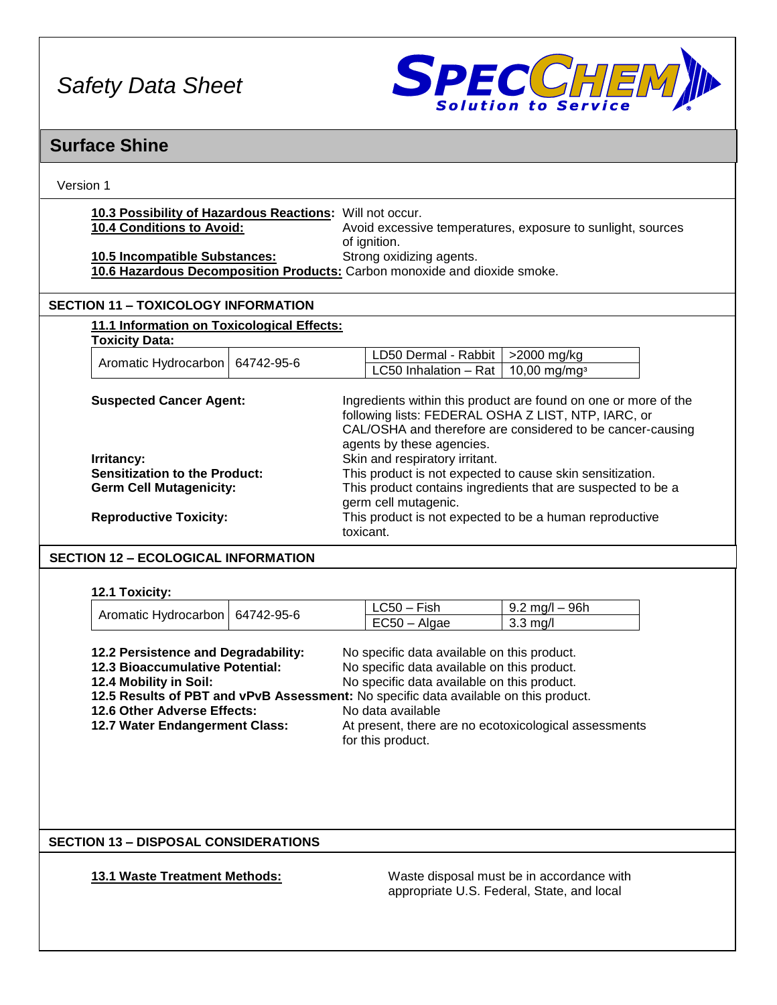

## **Surface Shine**

| Version 1 |  |
|-----------|--|
|           |  |

| 10.3 Possibility of Hazardous Reactions: Will not occur. |                                                             |
|----------------------------------------------------------|-------------------------------------------------------------|
| <b>10.4 Conditions to Avoid:</b>                         | Avoid excessive temperatures, exposure to sunlight, sources |
|                                                          | of ianition.                                                |
| 10.5 Incompatible Substances:                            | Strong oxidizing agents.                                    |
|                                                          |                                                             |

**10.6 Hazardous Decomposition Products:** Carbon monoxide and dioxide smoke.

## **SECTION 11 – TOXICOLOGY INFORMATION**

### **11.1 Information on Toxicological Effects: Toxicity Data:**

| <b>TUAIGILY DALA.</b>             |  |                                                  |  |  |
|-----------------------------------|--|--------------------------------------------------|--|--|
| Aromatic Hydrocarbon   64742-95-6 |  | LD50 Dermal - Rabbit   >2000 mg/kg               |  |  |
|                                   |  | LC50 Inhalation – Rat   10,00 mg/mg <sup>3</sup> |  |  |
|                                   |  |                                                  |  |  |

| <b>Suspected Cancer Agent:</b>       | Ingredients within this product are found on one or more of the<br>following lists: FEDERAL OSHA Z LIST, NTP, IARC, or<br>CAL/OSHA and therefore are considered to be cancer-causing<br>agents by these agencies. |
|--------------------------------------|-------------------------------------------------------------------------------------------------------------------------------------------------------------------------------------------------------------------|
| Irritancy:                           | Skin and respiratory irritant.                                                                                                                                                                                    |
| <b>Sensitization to the Product:</b> | This product is not expected to cause skin sensitization.                                                                                                                                                         |
| <b>Germ Cell Mutagenicity:</b>       | This product contains ingredients that are suspected to be a<br>germ cell mutagenic.                                                                                                                              |
| <b>Reproductive Toxicity:</b>        | This product is not expected to be a human reproductive<br>toxicant.                                                                                                                                              |

## **SECTION 12 – ECOLOGICAL INFORMATION**

**12.1 Toxicity:**

|                                   | LC50 – Fish    | l 9.2 mg/l – 96h |
|-----------------------------------|----------------|------------------|
| Aromatic Hydrocarbon   64742-95-6 | $EC50 - Algae$ | 3.3 ma/l         |

| 12.2 Persistence and Degradability: | No specific data available on this product. |
|-------------------------------------|---------------------------------------------|
| 12.3 Bioaccumulative Potential:     | No specific data available on this product. |
| 12.4 Mobility in Soil:              | No specific data available on this product. |

**12.5 Results of PBT and vPvB Assessment:** No specific data available on this product.

**12.6 Other Adverse Effects:** No data available<br>**12.7 Water Endangerment Class:** At present, there a

At present, there are no ecotoxicological assessments for this product.

## **SECTION 13 – DISPOSAL CONSIDERATIONS**

**13.1 Waste Treatment Methods:** Waste disposal must be in accordance with appropriate U.S. Federal, State, and local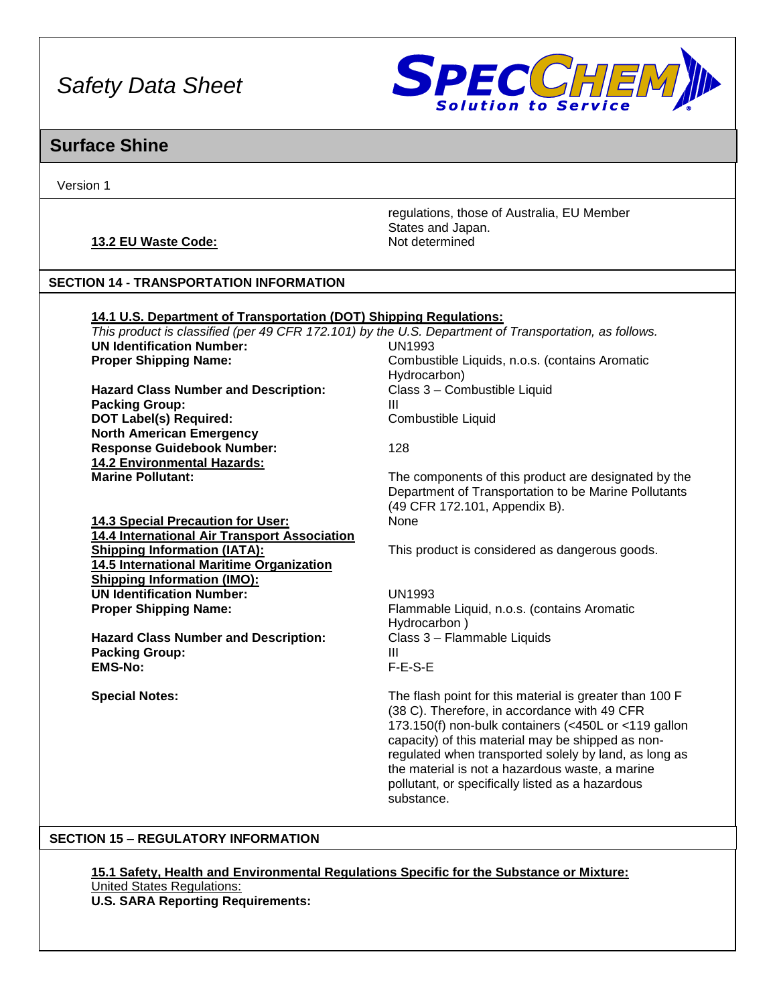

## **Surface Shine**

Version 1

## **13.2 EU Waste Code:** Not determined

regulations, those of Australia, EU Member States and Japan.

## **SECTION 14 - TRANSPORTATION INFORMATION**

| 14.1 U.S. Department of Transportation (DOT) Shipping Regulations:                                    |                                                |  |
|-------------------------------------------------------------------------------------------------------|------------------------------------------------|--|
| This product is classified (per 49 CFR 172.101) by the U.S. Department of Transportation, as follows. |                                                |  |
| <b>UN Identification Number:</b>                                                                      | UN1993                                         |  |
| <b>Proper Shipping Name:</b>                                                                          | Combustible Liquids, n.o.s. (contains Aromatic |  |
|                                                                                                       | Hydrocarbon)                                   |  |

Hazard Class Number and Description: Class 3 – Combustible Liquid **Packing Group: III DOT Label(s) Required:** Combustible Liquid **North American Emergency Response Guidebook Number:** 128 **14.2 Environmental Hazards:**

**14.3 Special Precaution for User:** None **14.4 International Air Transport Association 14.5 International Maritime Organization Shipping Information (IMO): UN Identification Number:** UN1993 **Proper Shipping Name:** Flammable Liquid, n.o.s. (contains Aromatic

**Hazard Class Number and Description:** Class 3 – Flammable Liquids **Packing Group: III EMS-No:** F-E-S-E

Hydrocarbon)

The components of this product are designated by the Department of Transportation to be Marine Pollutants (49 CFR 172.101, Appendix B).

**Shipping Information (IATA):** This product is considered as dangerous goods.

Hydrocarbon )

**Special Notes:** The flash point for this material is greater than 100 F (38 C). Therefore, in accordance with 49 CFR 173.150(f) non-bulk containers (<450L or <119 gallon capacity) of this material may be shipped as nonregulated when transported solely by land, as long as the material is not a hazardous waste, a marine pollutant, or specifically listed as a hazardous substance.

## **SECTION 15 – REGULATORY INFORMATION**

**15.1 Safety, Health and Environmental Regulations Specific for the Substance or Mixture:** United States Regulations: **U.S. SARA Reporting Requirements:**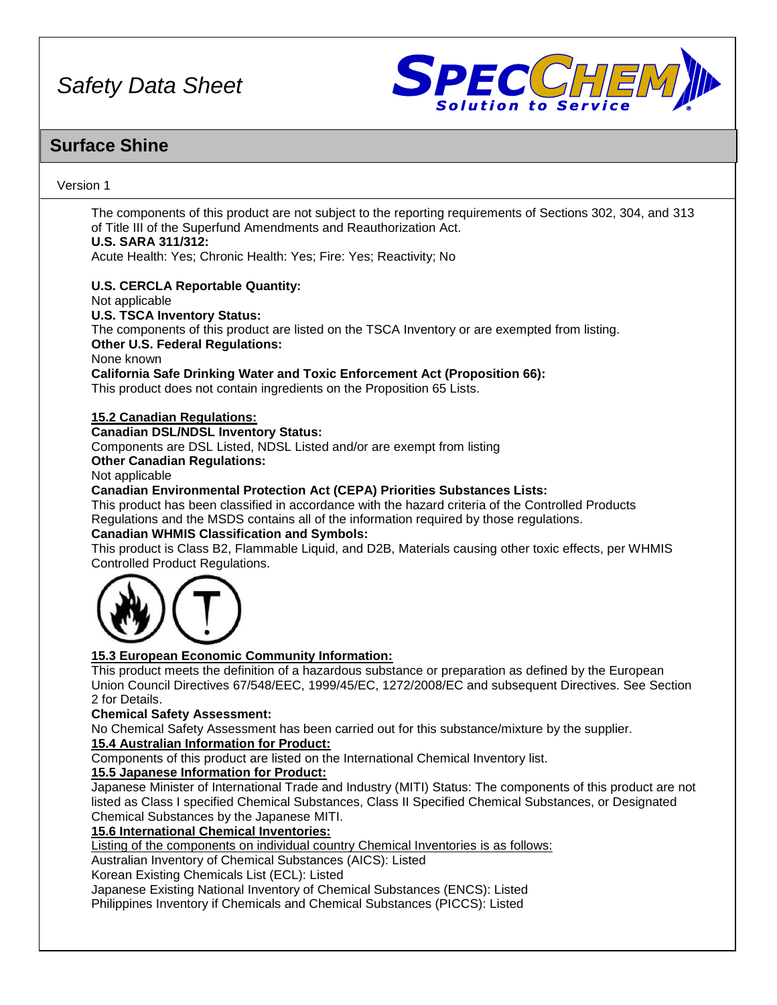

## **Surface Shine**

## Version 1

The components of this product are not subject to the reporting requirements of Sections 302, 304, and 313 of Title III of the Superfund Amendments and Reauthorization Act. **U.S. SARA 311/312:**

Acute Health: Yes; Chronic Health: Yes; Fire: Yes; Reactivity; No

## **U.S. CERCLA Reportable Quantity:**

Not applicable

## **U.S. TSCA Inventory Status:**

The components of this product are listed on the TSCA Inventory or are exempted from listing. **Other U.S. Federal Regulations:**

None known

**California Safe Drinking Water and Toxic Enforcement Act (Proposition 66):**

This product does not contain ingredients on the Proposition 65 Lists.

## **15.2 Canadian Regulations:**

## **Canadian DSL/NDSL Inventory Status:**

Components are DSL Listed, NDSL Listed and/or are exempt from listing

## **Other Canadian Regulations:**

Not applicable

## **Canadian Environmental Protection Act (CEPA) Priorities Substances Lists:**

This product has been classified in accordance with the hazard criteria of the Controlled Products Regulations and the MSDS contains all of the information required by those regulations.

## **Canadian WHMIS Classification and Symbols:**

This product is Class B2, Flammable Liquid, and D2B, Materials causing other toxic effects, per WHMIS Controlled Product Regulations.



## **15.3 European Economic Community Information:**

This product meets the definition of a hazardous substance or preparation as defined by the European Union Council Directives 67/548/EEC, 1999/45/EC, 1272/2008/EC and subsequent Directives. See Section 2 for Details.

## **Chemical Safety Assessment:**

No Chemical Safety Assessment has been carried out for this substance/mixture by the supplier.

## **15.4 Australian Information for Product:**

Components of this product are listed on the International Chemical Inventory list.

## **15.5 Japanese Information for Product:**

Japanese Minister of International Trade and Industry (MITI) Status: The components of this product are not listed as Class I specified Chemical Substances, Class II Specified Chemical Substances, or Designated Chemical Substances by the Japanese MITI.

## **15.6 International Chemical Inventories:**

Listing of the components on individual country Chemical Inventories is as follows:

Australian Inventory of Chemical Substances (AICS): Listed

Korean Existing Chemicals List (ECL): Listed

Japanese Existing National Inventory of Chemical Substances (ENCS): Listed

Philippines Inventory if Chemicals and Chemical Substances (PICCS): Listed